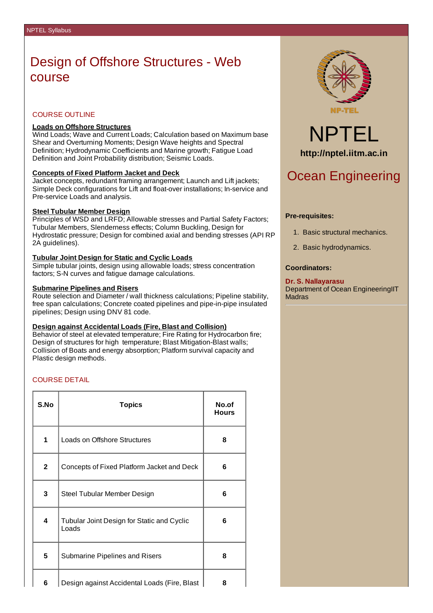## Design of Offshore Structures - Web course

### COURSE OUTLINE

### **Loads on Offshore Structures**

Wind Loads; Wave and Current Loads; Calculation based on Maximum base Shear and Overturning Moments; Design Wave heights and Spectral Definition; Hydrodynamic Coefficients and Marine growth; Fatigue Load Definition and Joint Probability distribution; Seismic Loads.

### **Concepts of Fixed Platform Jacket and Deck**

Jacket concepts, redundant framing arrangement; Launch and Lift jackets; Simple Deck configurations for Lift and float-over installations; In-service and Pre-service Loads and analysis.

### **Steel Tubular Member Design**

Principles of WSD and LRFD; Allowable stresses and Partial Safety Factors; Tubular Members, Slenderness effects; Column Buckling, Design for Hydrostatic pressure; Design for combined axial and bending stresses (API RP 2A guidelines).

### **Tubular Joint Design for Static and Cyclic Loads**

Simple tubular joints, design using allowable loads; stress concentration factors; S-N curves and fatigue damage calculations.

### **Submarine Pipelines and Risers**

Route selection and Diameter / wall thickness calculations; Pipeline stability, free span calculations; Concrete coated pipelines and pipe-in-pipe insulated pipelines; Design using DNV 81 code.

#### **Design against Accidental Loads (Fire, Blast and Collision)**

Behavior of steel at elevated temperature; Fire Rating for Hydrocarbon fire; Design of structures for high temperature; Blast Mitigation-Blast walls; Collision of Boats and energy absorption; Platform survival capacity and Plastic design methods.

### COURSE DETAIL

| S.No           | <b>Topics</b>                                       | No.of<br><b>Hours</b> |
|----------------|-----------------------------------------------------|-----------------------|
| $\mathbf{1}$   | Loads on Offshore Structures                        | 8                     |
| $\overline{2}$ | Concepts of Fixed Platform Jacket and Deck          | 6                     |
| 3              | Steel Tubular Member Design                         | 6                     |
| 4              | Tubular Joint Design for Static and Cyclic<br>Loads | 6                     |
| 5              | Submarine Pipelines and Risers                      | 8                     |
| 6              | Design against Accidental Loads (Fire, Blast        | 8                     |



# NPTEL **http://nptel.iitm.ac.in**

### Ocean Engineering

### **Pre-requisites:**

- 1. Basic structural mechanics.
- 2. Basic hydrodynamics.

### **Coordinators:**

### **Dr. S. Nallayarasu**

Department of Ocean EngineeringIIT Madras